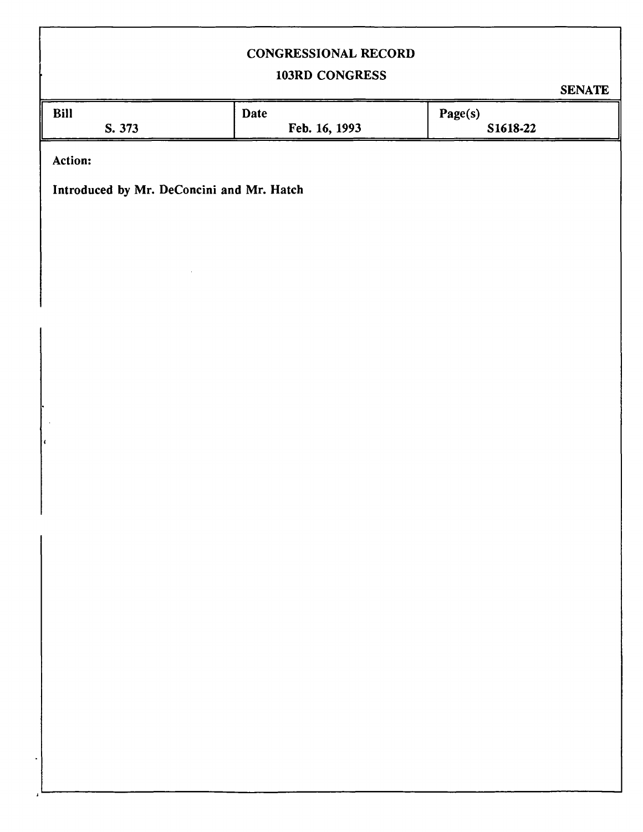# **CONGRESSIONAL RECORD**

# **103RD CONGRESS**

**SENATE** 

| Bill<br>S. 373                            | Date<br>Feb. 16, 1993 | Page(s)<br>S1618-22 |
|-------------------------------------------|-----------------------|---------------------|
| Action:                                   |                       |                     |
| Introduced by Mr. DeConcini and Mr. Hatch |                       |                     |
|                                           |                       |                     |
|                                           |                       |                     |
|                                           |                       |                     |
|                                           |                       |                     |
|                                           |                       |                     |
|                                           |                       |                     |
| l C                                       |                       |                     |
|                                           |                       |                     |
|                                           |                       |                     |
|                                           |                       |                     |
|                                           |                       |                     |
|                                           |                       |                     |
|                                           |                       |                     |
|                                           |                       |                     |
|                                           |                       |                     |
|                                           |                       |                     |

 $\overline{1}$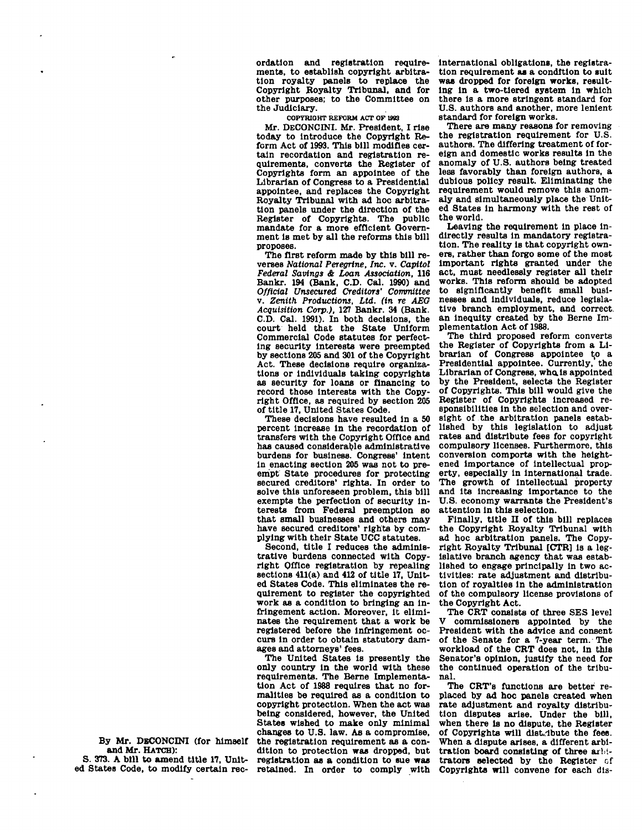ordation and registration requirements, to establish copyright arbitration royalty panels to replace the Copyright Royalty Tribunal, and for other purposes; to the Committee on the Judiciary.

**COPYRIOHT REFORM ACT OF 1983** 

Mr. DECONCINI. Mr. President, I rise today to introduce the Copyright Reform Act of 1993. This bill modifies certain recordation and registration requirements, converts the Register of Copyrights form an appointee of the Librarian of Congress to a Presidential appointee, and replaces the Copyright Royalty Tribunal with ad hoc arbitration panels under the direction of the Register of Copyrights. The public mandate for a more efficient Government is met by all the reforms this bill proposes.

The first reform made by this bill reverses *National Peregrine, Inc.* v. *Capitol Federal Savings A Loan Association,* 116 Bankr. 194 (Bank, CD. Cal. 1990) and *Official Unsecured Creditors' Committee*  v. *Zenith Productions, Ltd. (in re AEG Acquisition Corp.),* 127 Bankr. 34 (Bank. C.D. Cal. 1991). In both decisions, the court held that the State Uniform Commercial Code statutes for perfecting security interests were preempted by sections 205 and 301 of the Copyright Act. These decisions require organizations or individuals taking copyrights as security for loans or financing to record those Interests with the Copyright Office, as required by section 205 of title 17, United States Code.

These decisions have resulted in a 50 percent increase in the recordation of transfers with the Copyright Office and has caused considerable administrative burdens for business. Congress' Intent in enacting section 205 was not to preempt State procedures for protecting secured creditors' rights. In order to solve this unforeseen problem, this bill exempts the perfection of security Interests from Federal preemption so that small businesses and others may have secured creditors' rights by complying with their State UCC statutes.

Second, title I reduces the administrative burdens connected with Copyright Office registration by repealing sections 411(a) and 412 of title 17. United States Code. This eliminates the requirement to register the copyrighted work as a condition to bringing an infringement action. Moreover, it eliminates the requirement that a work be registered before the infringement occurs in order to obtain statutory damages and attorneys' fees.

The United States Is presently the only country In the world with these requirements. The Berne Implementation Act of 1988 requires that no formalities be required as a condition to copyright protection. When the act was being considered, however, the United States wished to make only minimal changes to U.S. law. As a compromise, the registration requirement as a condition to protection was dropped, but registration as a condition to sue was retained. In order to comply with

international obligations, the registration requirement as a condition to suit was dropped for foreign works, resulting in a two-tiered system in which there is a more stringent standard for U.S. authors and another, more lenient standard for foreign works.

There are many reasons for removing the registration requirement for U.S. authors. The differing treatment of foreign and domestic works results in the anomaly of U.S. authors being treated less favorably than foreign authors, a dubious policy result. Eliminating the requirement would remove this anomaly and simultaneously place the United States in harmony with the rest of the world.

Leaving the requirement in place indirectly results in mandatory registration. The reality is that copyright owners, rather than forgo some of the most Important rights granted under the act, must needlessly register all their works. This reform should be adopted to significantly benefit small businesses and individuals, reduce legislative branch employment, and correct an Inequity created by the Berne Implementation Act of 1988.

The third proposed reform converts the Register of Copyrights from a Librarian of Congress appointee to a Presidential appointee. Currently, the Librarian of Congress, who. is appointed by the President, selects the Register of Copyrights. This bill would give the Register of Copyrights increased responsibilities in the selection and oversight of the arbitration panels established by this legislation to adjust rates and distribute fees for copyright compulsory licenses. Furthermore, this conversion comports with the heightened importance of intellectual property, especially in international trade. The growth of Intellectual property and its increasing Importance to the U.S. economy warrants the President's attention in this selection.

Finally, title II of this bill replaces the Copyright Royalty Tribunal with ad hoc arbitration panels. The Copyright Royalty Tribunal [CTR] is a legislative branch agency that was established to engage principally in two activities: rate adjustment and distribution of royalties in the administration of the compulsory license provisions of the Copyright Act.

The CRT consists of three SES level commissioners appointed by the President with the advice and consent of the Senate for a 7-year term. The workload of the CRT does not, in this Senator's opinion, justify the need for the continued operation of the tribunal.

The CRT's functions are better replaced by ad hoc panels created when rate adjustment and royalty distribution disputes arise. Under the bill, when there Is no dispute, the Register of Copyrights will distribute the fees. When a dispute arises, a different arbitration board consisting of three arbitrators selected by the Register cf Copyrights will convene for each dis-

By Mr. DBCONCINI (for himself and Mr. HATCH): S. 373. A bill to amend title 17, Unit-

ed States Code, to modify certain rec-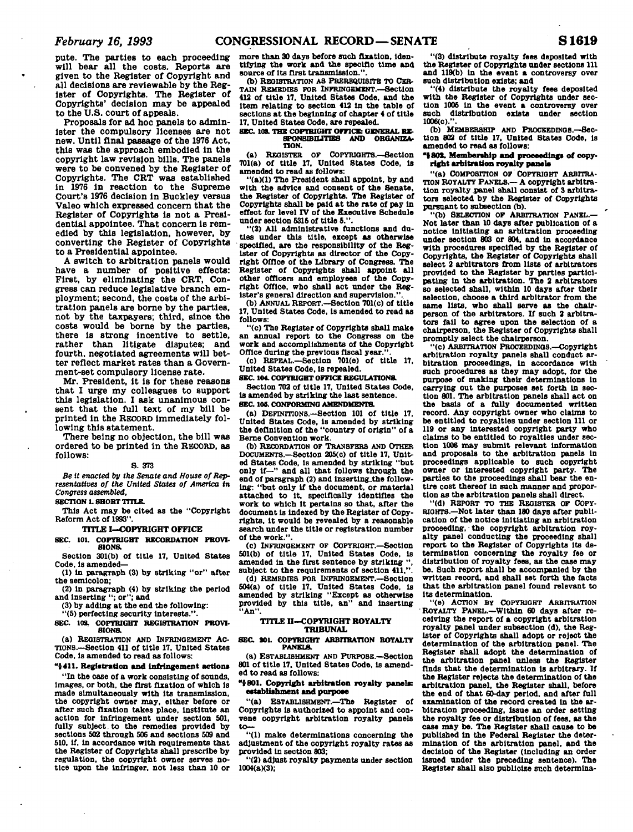**pute. The parties to each proceeding will bear all the costs. Reports are given to the Register of Copyright and all decisions are reviewable by the Register of Copyrights. The Register of Copyrights' decision may be appealed to the U.S. court of appeals.** 

**Proposals for ad hoc panels to administer the compulsory licenses are not new. Until final passage of the 1976 Act, this was the approach embodied in the copyright law revision bills. The panels were to be convened by the Register of Copyrights. The CRT was established in 1976 In reaction to the Supreme Court's 1976 decision In Buckley versus Valeo which expressed concern that the Register of Copyrights is not a Presidential appointee. That concern is remedied by this legislation, however, by converting the Register of Copyrights to a Presidential appointee.** 

**A switch to arbitration panels would have a number of positive effects: First, by eliminating the CRT, Congress can reduce legislative branch employment; second, the costs of the arbitration panels are borne by the parties, not by the taxpayers; third, since the costs would be borne by the parties, there is strong incentive to settle, rather than litigate disputes; and fourth, negotiated agreements will better reflect market rates than a Government-set compulsory license rate.** 

**Mr. President, It is for these reasons that I urge my colleagues to support this legislation. I ask unanimous consent that the full text of my bill be printed In the RECORD immediately following this statement.** 

**There being no objection, the bill was ordered to be printed In the RECORD, as follows:** 

### **S. 373**

*Be it enacted by the Senate and House of Representatives of the United States of America in Congress assembled,* 

**SECTION L SHORT TITLE.** 

**This Act may be cited as the "Copyright Reform Act of 1993".** 

**TITLE I—COPYRIGHT OFFICE** 

**SEC. 101. COPYRIGHT RECORDATION PROVI-SIONS.** 

**Section 301(b) of title 17. United States Code, Is amended—** 

**(1) In paragraph (3) by striking "or" after the semicolon;** 

**(2) in paragraph (4) by striking the period and inserting "; or"; and** 

**(3) by adding at the end the following: "(5) perfecting security interests.".** 

**SEC. 103. COPYRIGHT REGISTRATION PROW-SIONa** 

**(a) REGISTRATION AND INFRINGEMENT AC-TIONS.—Section 411 of title 17, United States Code, Is amended to read as follows:** 

# **"{411. Registration and infringement action\***

**"In the case of a work consisting of sounds, images, or both, the first fixation of which is made simultaneously with Its transmission, the copyright owner may, either before or after such fixation takes place. Institute an action for infringement under section 501, fully subject to the remedies provided by sections 502 through 506 and sections 509 and 510, If, In accordance with requirements that the Register of Copyrights shall prescribe by regulation, the copyright owner serves notice upon the Infringer, not less than 10 or**  **more than 30 days before such fixation. Identifying the work and the speclflo time and source of Its first transmission.".** 

**(b) REGISTRATION AS PREREQUISITE TO CER-TAIN REMEDIES FOR INFRINGEMENT.—Section 412 of title 17, United States Code, and the Item relating to section 412 In the table of sections at the beginning of chapter 4 of title 17, United States Code, are repealed.** 

#### **SEC. 108. THE COPYRIGHT OFFICE: GENERAL RE-<br>SPONSIBILITIES AND ORGANIZA-SPONSIBILITIES AND TION.**

**(a) REOISTER OF COPYRIQHTS.—Section 701(a) of title 17, United States Code, Is amended to read as follows:** 

**"(a)(1) The President shall appoint, by and with the advice and consent of the Senate, the Register of Copyrights. The Register of Copyrights shall be paid at the rate of pay In effect for level IV of the Executive Schedule**  under section 5315 of title 5."

**"(2) All administrative functions and duties under this title, except as otherwise specified, are the responsibility of the Register of Copyrights as director of the Copyright Office of the Library of Congress. The Register of Copyrights shall appoint all other officers and employees of the Copyright Office, who shall act under the Register's general direction and supervision.** 

**(b) ANNUAL REPORT.—Section 701(c) of title 17, United States Code, is amended to read as follows:** 

**"(c) The Register of Copyrights shall make**  an annual report to the Congress on the **work and accomplishments of the Copyright Office during the previous fiscal year**.

**(c) REPEAL.—Section 701(e) of title 17, United States Code, Is repealed.** 

**SEC 104. COPYRIGHT OFFICE REGULATIONS.** 

**Section 702 of title 17, United States Code, Is amended by striking the last sentence. SEC. 106. CONFORMING AMENDMENTS** 

**(a) DEFINITIONS.—Section 101 of title 17, United States Code, Is amended by striking the definition of the "country of origin" of a Berne Convention work.** 

**(b) RECORDATION OF TRANSFERS AND OTHER DOCUMENTS.—Section 205(c) of title 17, United States Code, Is amended by striking "but only if—" and all that follows through the end of paragraph (2) and lnsertlng\_the following: "but only If the document, or material attached to It, specifically Identifies the work to which It pertains so that, after the document Is indexed by the Register of Copyrights, it would be revealed by a reasonable search under the title or registration number of the work.".** 

**(c) INFRINGEMENT OF COPYRIOHT.—Section 501(b) of title 17. United States Code, is**  amended in the first sentence by striking subject to the requirements of section 411.".

**(d) REMEDIES FOR INFRINGEMENT.—Section 604(a) of title 17. United States Code, is amended by striking "Except as otherwise provided by this title, an" and inserting "An".** 

#### **TITLE H—COPYRIGHT ROYALTY TRIBUNAL**

**SEC. SOL COPYRIGHT ARBITRATION ROYALTY PANELS** 

**(a) ESTABLISHMENT AND PURPOSE.—Section 801 of title 17. United States Code, Is amended to read as follows:** 

## **"J 801. Copyright arbitration royalty panels: establishment and purpose**

**"(a) ESTABLISHMENT.—The Register of Copyrights Is authorized to appoint and convene copyright arbitration royalty panels to—** 

**"(1) make determinations concerning the adjustment of the copyright royalty rates as provided In section 803;** 

**"(2) adjust royalty payments under section 1004(a)(3);** 

**"(3) distribute royalty fees deposited with the Register of Copyrights under sections il l and 119(b) In the event a controversy over such distribution exists; and** 

**"(4) distribute the royalty fees deposited with the Register of Copyrights under section 1006 In the event a controversy over such distribution exists under section 1006(c).".** 

(b) MEMBERSHIP AND PROCEEDINGS.-Sec**tion 802 of title 17, United States Code, is amended to read as follows:** 

## **1801. Membership and proceedings of copyright arbitration royalty panels**

**"(a) COMPOSITION OF COPYRIGHT ARBITRA-TION ROYALTY PANELS.— A copyright arbitration royalty panel shall consist of 3 arbitrators selected by the Register of Copyrights pursuant to subsection (b).** 

**"(b) SELECTION OF ARBITRATION PANEL.— Not later than 10 days after publication of a notice Initiating an arbitration proceeding under section 803 or 804, and In accordance with procedures specified by the Register of Copyrights, the Register of Copyrights shall select 2 arbitrators from lists of arbitrators provided to the Register by parties participating in the arbitration. The 2 arbitrators so selected shall, within 10 days after their selection, choose a third arbitrator from the same lists, who shall serve as the chairperson of the arbitrators. If such 2 arbitrators fall to agree upon the selection of a chairperson, the Register of Copyrights shall promptly select the chairperson.** 

**"(C) ARBITRATION PROCEEDDJOS.—Copyright arbitration royalty panels shall conduct arbitration proceedings, in accordance with such procedures as they may adopt, for the purpose of making their determinations In carrying out the purposes set forth In section 801. The arbitration panels shall act on the basis of a fully documented written record. Any copyright owner who claims to be entitled to royalties under section ill or 119 or any Interested copyright party who claims to be entitled to royalties under section 1006 may submit relevant Information and proposals to the arbitration panels In proceedings applicable to such copyright owner or Interested copyright party. The parties to the proceedings shall bear the entire cost thereof In such manner and proportion as the arbitration panels shall direct.** 

**"(d) REPORT TO THE REGISTER OF COPY-RIGHTS.—Not later than 180 days after publication of the notice Initiating an arbitration**  proceeding, the copyright arbitration roy**alty panel conducting the proceeding shall report to the Register of Copyrights Its determination concerning the royalty fee or distribution of royalty fees, as the case may be. Such report shall be accompanied by the written record, and shall set forth the facts that the arbitration panel found relevant to Its determination.** 

**"(6) ACTION BY COPYRIGHT ARBITRATION ROYALTY PANEL.—Within 60 days after receiving the report of a copyright arbitration royalty panel under subsection (d), the Register of Copyrights shall adopt or reject the determination of the arbitration panel. The Register shall adopt the determination of the arbitration panel unless the Register finds that the determination is arbitrary. If the Register rejects the determination of the arbitration panel, the Register shall, before the end of that 60-day period, and after full examination of the record created In the arbitration proceeding, issue an order setting the royalty fee or distribution of fees, as the case may be. The Register shall cause to be published In the Federal Register the determination of the arbitration panel, and the decision of the Register (Including an order Issued under the preceding sentence). The Register shall also publicize such determlna-**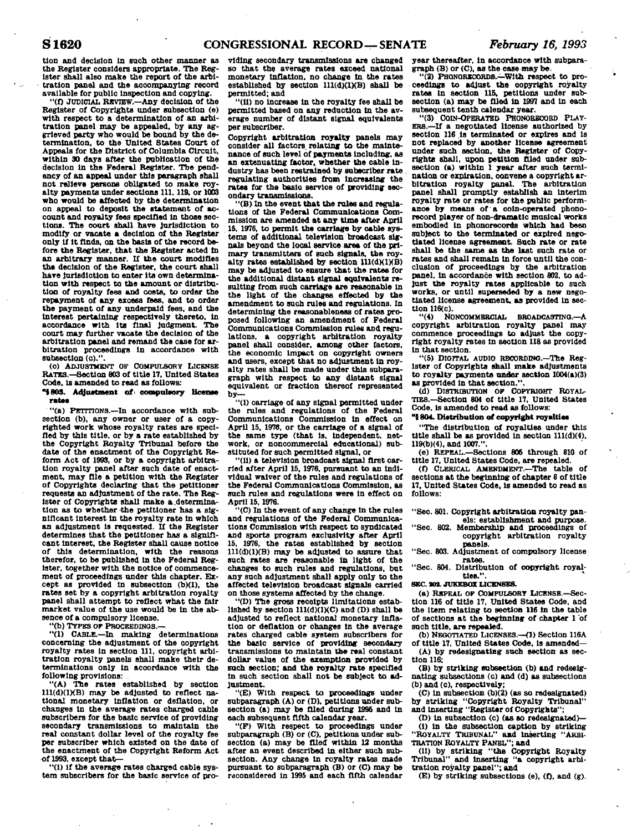**tlon and decision In such other manner as the Register considers appropriate. The Register shall also make the report of the arbitration panel and the accompanying record available for public Inspection and copying.** 

**"(f) JUDICIAL REVIEW.—Any decision of the Register of Copyrights under subsection (e) with respect to a determination of an arbitration panel may be appealed, by any aggrieved party who would be bound by the determination, to the United States Court of Appeals for the District of Columbia Circuit, within 30 days after the publication of the decision In the Federal Register. The pendency of an appeal under this paragraph shall not relieve persons obligated to make royalty payments under sections 111, 118, or 1003 who would be affected by the determination on appeal to deposit the statement of account and royalty fees specified in those sections. The court shall have Jurisdiction to modify or vacate a decision of the Register only If it finds, on the basis of the record before the Register, that the Register acted to an arbitrary manner. If the court modifies the decision of the Register, the court shall have Jurisdiction to enter its own determination with respect to the amount or distribution of royalty fees and costs, to order the repayment of any excess fees, and to order the payment of any underpaid fees, and the Interest pertaining respectively thereto, in accordance with Its final Judgment. The court may further vacate the decision of the arbitration panel and remand the case for arbitration proceedings in accordance with subsection (c).".** 

**(o) ADJUSTMENT OF COMPULSORY LICENSE RATES.—Section 803 of title 17, united States Code, is amended to read as follows;** 

**"1803. Adjustment of' compulsory Hcenae rates** 

"(a) PETITIONS.-In accordance with sub**section (b), any owner or user of a copyrighted work whose royalty rates are specified by this title, or by a rate established by the Copyright Royalty Tribunal before the date of the enactment of the Copyright Reform Act of 1993, or by a copyright arbitration royalty panel after such date of enactment, may file a petition with the Register of Copyrights declaring that the petitioner requests an adjustment of the rate. The Register of Copyrights shall make a .determination as to whether the petitioner has a significant Interest In the royalty rate In which an adjustment is requested. If the Register determines that the petitioner has a significant Interest, the Register shall cause notice of this determination, with the reasons therefor, to be published In the Federal Register, together with the notice of commencement of proceedings under this chapter. Except as provided in subsection (b)(1), the rates set by a copyright arbitration royalty panel shall attempt to reflect what the fair market value of the use would be In the absence of a compulsory license.** 

**"(b) TYPES or PROCEEDINGS.—** 

**"(1) CABLE.—In making determinations concerning the adjustment of the copyright royalty rates in section ill, copyright arbitration royalty panels shall make their determinations only in accordance with the following provisions: .** 

**"(A) The rates established by section 111(d)(1)(B) may be adjusted to reflect national monetary Inflation or deflation, or changes In the average rates charged cable subscribers for the basic service of providing secondary transmissions to maintain the real constant dollar level of the royalty fee per subscriber which existed on the date of the enactment of the Copyright Reform Act of 1993, except that-**

**'ll) if the average rates charged cable system subscribers for the baste service of pro-** **viding secondary transmissions are changed so that the average rates exceed national monetary Inflation, no change In the rates**  established by section 111(d)(1)(B) shall be **permitted; and** 

**"(11) no Increase In the royalty fee shall be permitted based on any reduction In the average number of distant signal equivalents per subscriber.** 

**Copyright arbitration royalty panels may consider all factors, relating to the maintenance of such level of payments including, as an extenuating factor, whether the cable In-dustry has been restrained by subscriber rate . regulating authorities from Increasing the rates for the baslo service of providing secondary transmissions.** 

**"(B) In the event that the rules and regulations of the Federal Communications Commission are amended at any time after April 15, 1976, to permit the carriage by cable systems of additional television broadcast signals beyond the local service area of the primary transmitters of such signals, the royalty rates established by section Ul(dXlXB) may be adjusted to ensure that the rates for the additional distant signal equivalents resulting from such carriage are reasonable in the light of the changes effected by the amendment to such rules and regulations. In determining the reasonableness of rates proposed following an amendment of Federal Communications Commission rules and regulations, a copyright arbitration royalty panel shall consider, among other factors, the economic Impact on copyright owners and users, except that no adjustment in royalty rates shall be made under this subparagraph with respect to any distant signal equivalent or fraction thereof represented b y -**

**"(1) carriage of any signal permitted under the rules and regulations of the Federal Communications Commission In effect on April 15, 1976, or the carriage of a signal of the same type (that Is, independent, net-work, or noncommercial educational) substituted for such permitted signal, or** 

**"(11) a television broadcast signal first carried after April 15,1976, pursuant to an Individual waiver of the rules and regulations of the Federal Communications Commission, as such rules and regulations were in effect on April 15,1976.** 

**"(C) In the event of any change In the rules and regulations of the Federal Communications Commission with respect to syndicated and sports program exclusivity after April 15, 1976, the rates established by section 111(d)(1)(B) may be adjusted to assure that such rates are reasonable In light of the changes to such rules and regulations, but any such adjustment shall apply only to the affected television broadcast signals carried on those systems affected by the change.** 

**"(D) The gross receipts limitations estab**lished by section  $111(d)(1)(C)$  and  $(D)$  shall be **adjusted to reflect national monetary Inflation or deflation or ohanges in the average rates charged cable system subscribers for the basic service of providing secondary transmissions to maintain the real constant dollar value of the exemption provided by such section; and the royalty rate specified In such section shall not be subject to adjustment.** 

**"(E) With respect to proceedings under subparagraph (A) or (D), petitions under subsection (a) may be filed during 1996 and In each subsequent fifth calendar year.** 

**"(F) With respect to proceedings under subparagraph (B) or (C), petitions under sub-section (a) may be filed within 12 months after an event described In either such subsection. Any change in royalty rates made pursuant to subparagraph (B) or (C) may be reconsidered in 1995 and each fifth calendar** 

**year thereafter, in accordance with subpara-**

graph (B) or (C), as the case may be. <br>
"(2) PHONORECORDS.—With respect to pro**ceedings to adjust the copyright royalty rates in section 115, petitions under sub-section (a) may be filed in 1997 and in each subsequent tenth calendar year.** 

**"(3) COIN-OPERATED PHONORECOBD PLAY-ERS.—If a negotiated license authorized by section 116 Is terminated or expires and Is not replaced by another license agreement under such section, the Register of Copyrights shall, upon petition filed under sub-section (a) within 1 year after such termination or expiration, convene a copyright arbitration royalty panel. The arbitration panel shall promptly establish an interim royalty rate or rates for the public performance by means of a coin-operated phonorecord player of non-dramatic musical works embodied In phonorecords which had been subject to the terminated or expired negotiated license agreement. Such rate or rate shall be the same as the last such rate or rates and shall remain in force until the conclusion of proceedings by the arbitration**  panel, in accordance with section 802, to ad**just the royalty rates applicable to such works, or until superseded by a new negotiated license agreement, as provided In section 116(c).** 

**"(4) NONCOMMERCIAL BROADCASTINO.—A copyright arbitration royalty panel may commence proceedings to adjust the copyright royalty rates In section US as provided In that section.** 

**"(5) DIOFTAL AUDIO RECORDING.—The Register of Copyrights shall make adjustments to royalty payments under section 1004(a)(3) as provided in that section.".** 

(d) DISTRIBUTION OF COPYRIGHT ROYAL-**TIES.—Section 804 of title 17, United States Code, Is amended to read as follows:** 

**"t 804. Distribution of copyright royalties** 

**"The distribution of royalties under this title shall be as provided in section 111(d)(4), 119(b)(4). and 1007.".** 

**(e) REPEAL.—Sections 806 through 810 of title 17, United States Code, are repealed.** 

**(O CLERICAL AMENDMENT.—The table of sections at the beginning of chapter 8 of title 17. United States Code, is amended to read as follows:** 

**"Sec. 801. Copyright arbitration royalty panels: establishment and purpose.** 

**"Sec. 802. Membership and proceedings of copyright arbitration royalty panels.** 

**"Sec. 803. Adjustment of compulsory license rates.** 

**"Sec. 804. Distribution of copyright royalties.".** 

**SEC. SOS. JUKEBOX LICENSES.** 

**(a) REPEAL OP COMPULSORY LICENSE.—Section 116 of title 17, United States Code, and the Item relating to section 116 in the table of sections at the beginning of chapter 1 of such title, are repealed.** 

**(b) NEGOTIATED LICENSES.—(1) Section 116A of title 17, United States Code, Is amended—** 

**(A) by redesignating such section as section 116; (B) by striking subsection (b) and redesig-**

**nating subsections (c) and (d) as subsections (b) and (c), respectively;** 

**(C) In subsection (b)(2) (as so redesignated) by striking "Copyright Royalty Tribunal" and inserting "Register of Copyrights";** 

**(D) in subsection (c) (as so redesignated)— (I) in the subsection caption by striking "ROYALTY TRIBUNAL" and inserting "ARBI-TRATION ROYALTY PANEL"; and** 

**(II) by striking "the Copyright Royalty Tribunal" and Inserting "a copyright arbi-**

**tration royalty panel"; and** 

**(E) by striking subsections (e), (f), and (g).**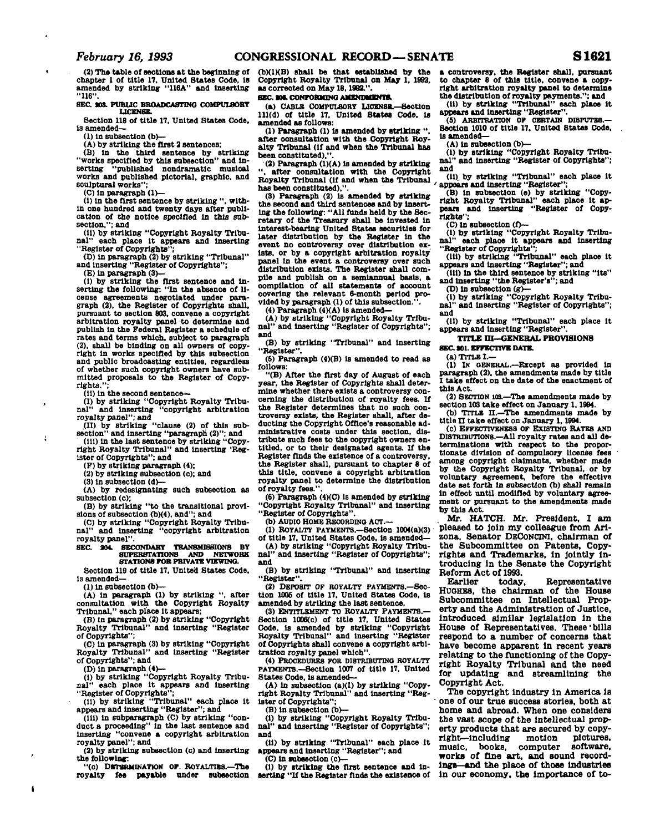**(2) The table of sections at the beginning of chapter 1 of title 17, United States Code, Is amended by striking "USA" and Inserting "116".** 

**SEC 103. PUBLIC BROADCASTING COMPULSORY LICENSE.** 

**Section 118 of title 17, United States Code, Is amended—** 

**(1) In subsection (b>—** 

**(A) by striking the first 2 sentences; (B) in the third sentence by striking "works specified by this subsection" and In**serting "published nondramatic musical **works and published pictorial, graphic, and sculptural works";** 

**(C) In paragraph (1)—** 

**(I) in the first sentence by striking ", within one hundred and twenty days after publication of the notice specified in this subsection,"; and** 

**(II) by striking "Copyright Royalty Tribunal" each place It appears and inserting "Register of Copyrights";** 

**(D) in paragraph (2) by striking "Tribunal" and Inserting "Register of Copyrights";** 

**(E) In paragraph (3>—** 

(1) by striking the first sentence and in**serting the following: "In the absence of license agreements negotiated under paragraph (2), the Register of Copyrights shall, pursuant to section 803. convene a copyright arbitration royalty panel to determine and publish in the Federal Register a schedule of rates and terms which, subject to paragraph (2), shall be binding on all owners of copyright In works specified by this subsection and public broadcasting entitles, regardless of whether such copyright owners have submitted proposals to the Register of Copyrights.";** 

 $\overline{1}$ 

j

**(II) In the second sentence— (1) by striking "Copyright Royalty Tribu-nal" and Inserting "copyright arbitration royalty panel"; and** 

**(II) by striking "clause (2) of this sub**section" and inserting "paragraph (2)"; and **(ill)** in the last sentence by striking "Copy-

**right Royalty Tribunal" and Inserting 'Register of Copyrights"; and** 

**(F) by striking paragraph (4);** 

**(2) by striking subsection (c); and** 

**(3) In subsection (d)—** 

**(A) by redesignating such subsection as** 

**subsection (c); (B) by striking "to the transitional provi-**

sions of subsection (b)(4), and"; and<br>
(C) by striking "Copyright Royalty Tribu-<br> **nal"** and inserting "copyright arbitration **royalty panel".** 

**SEC. S04. SECONDARY TRANSMISSIONS BY 8UPERSTATION8 AND NETWORK STATIONS rOR PRIVATE VIEWING.** 

**Section 119 of title 17, United States Code. Is amended—** 

**(1) In subsection (b)—** 

**(A) In paragraph (1) by striking ", after consultation with the Copyright Royalty Tribunal," each place It appears;** 

**(B) in paragraph (2) by striking "Copyright Royalty Tribunal" and Inserting "Register of Copyrights";** 

**(C) in paragraph (3) by striking "Copyright Royalty Tribunal" and inserting "Register of Copyrights"; and** 

**(D) in paragraph (4)—** 

**(1) by striking "Copyright Royalty Tribunal" each place it appears and Inserting "Register of Copyrights";** 

**(11) by striking "Tribunal" each place it appears and Inserting "Register"; and** 

**(ill) in subparagraph (C) by striking "conduct a proceeding" In the last sentence and inserting "convene a copyright arbitration royalty panel"; and** 

**(2) by striking subsection (c) and Inserting the following:** 

"(c) DETERMINATION OF ROYALTIES.-The **royalty fee payable under subeectlon**  **(bXIXB) shall be that established by the Copyright Royalty Tribunal on May 1, 1992, as corrected on May 18,1982.".** 

## **SEC SO\*. CONFORMING AMENDMENTS.**

**(a) CABLE COMPULSORY LICENSE.—Section 111(d) of title 17, United States Code, is amended as follows:** 

**(1) Paragraph (1) is amended by striking ", after consultation with the Copyright Royalty Tribunal (If and when the Tribunal has been constituted),".** 

**(2) Paragraph (1)(A) is amended by striking**  after consultation with the Copyright **Royalty Tribunal (If and when the Tribunal has been constituted),".** 

**(3) Paragraph (2) is amended by striking the second and third sentences and by inserting the following: "All funds held by the Secretary of the Treasury shall be Invested In Interest-bearing United States securities for later distribution by the Register in the event no controversy over distribution exists, or by a copyright arbitration royalty panel in the event a controversy over such distribution exists. The Register shall compile and publish on a semiannual basis, a compilation of all statements of account covering the relevant 6-month period provided by paragraph (1) of this subsection.".** 

**(4) Paragraph (4HA) is amended—** 

**(A) by striking "Copyright Royalty Tribunal" and inserting "Register of Copyrights"; and** 

**(B) by striking "Tribunal" and inserting "Register".** 

**(5) Paragraph (4)(B) is amended to read as follows:** 

**"(B) After the first day of August of each year, the Register of Copyrights shall determine whether there exists a controversy concerning the distribution of royalty fees. If the Register determines that no such controversy exists, the Register shall, after deducting the Copyright Office's reasonable administrative costs under this section, distribute such fees to the oopyright owners entitled, or to their designated agents. If the Register finds the existence of a controversy, the Register shall, pursuant to chapter 8 of this title, convene a copyright arbitration royalty panel to determine the distribution**  of royalty fees.'

(6) Paragraph (4)(C) is amended by striking **"Copyright Royalty Tribunal" and Inserting "Register of Copyrights".** 

(b) AUDIO HOME RECORDING ACT.

**(1) ROYALTY PAYMENTS.—Section 1004(a)(3)** 

**of title 17, United States Code, is amended— (A) by striking "Copyright Royalty Tribu-**

and inserting "Register of Copyrights"; **and** 

**(B) by striking "Tribunal" and inserting "Register".** 

**(2) DEPOSIT OF ROYALTY PAYMENTS.—Section 1006 of title 17. United States Code, Is amended by striking the last sentence.** 

**(3) ENTITLEMENT TO ROYALTY PAYMENTS.— Section 1006(c) of title 17, United States Code, is amended by striking "Copyright Royalty Tribunal" and Inserting "Register of Copyrights shall convene a copyright arbitration royalty panel which".** 

**(4) PROCEDURES FOR DISTRDJUTDJO ROYALTY PAYMENTS.—Section 1007 of title 17, United States Code, is amended—** 

**(A) In subsection (a)(1) by striking "Copyright Royalty Tribunal" and Inserting "Register of Copyrights";** 

**(B) in subsection (o)—** 

**(I) by striking "Copyright Royalty Tribunal" and inserting "Register of Copyrights"; and** 

**(II) by striking "Tribunal" each place it appears and inserting "Register"; and** 

**(C) In subeectlon (c>—** 

**(1) by striking the first sentence and In-serting "If the Register finds the existence of** 

**a controversy, the Register shall, pursuant to chapter 8 of this title, convene a copyright arbitration royalty panel to determine the distribution of royalty payments."; and** 

**(11) by striking "Tribunal" each place It appears and Inserting "Register".** 

**(5) ARBITRATION OP CERTAIN DISPUTES.— Seotion 1010 of title 17. United States Code, Is amended—** 

**(A) In subsection (b>—** 

**(I) by striking "Copyright Royalty Tribunal" and Inserting "Register of Copyrights"; and** 

**(II) by striking "Tribunal" each place it**  appears and inserting "Register"

**(B) In subsection (e) by striking "Copyright Royalty Tribunal" each place it appears and inserting "Register of Copyrights";** 

**(C) In subsection (f>— (1) by striking "Copyright Royalty Tribunal" each place it appears and inserting "Register of Copyrights";** 

**(ill) by striking "Tribunal" each place it appears and inserting "Register"; and** 

**(ill) in the third sentence by striking "Its" and Inserting "the Register's"; and** 

**(D) in subsection (g)—** 

**(I) by striking "Copyright Royalty Tribu-**

**nal" and inserting "Register of Copyrights"; and (II) by striking "Tribunal" each place it** 

**appears and inserting "Register".** 

# **TITLE m—GENERAL PROVISIONS**

**SEC Ml. EFFECTIVE DATE.** 

**(a) TITLE I.—** 

**(1) IN OENERAL.—Except as provided In paragraph (2), the amendments made by title I take effect on the date of the enactment of this Act.** 

**(2) SECTION IOS.—The amendments made by section 103 take effect on January 1,1994.** 

(b) TITLE II.-The amendments made by title II take effect on January 1, 1994.

**(C) EFFECTIVENESS OF EXISTINO RATES AND DISTRIBUTIONS.—All royalty rates and all de-terminations with respect to the proportionate division of compulsory license fees**  by the Copyright Royalty Tribunal, or by voluntary agreement, before the effective date set forth in subsection (b) shall remain in effect until modified by voluntary agreement or pursuant to the amendments made by this Act. by this Act.

**by the Mr. HAT** pleased to join my colleague from Arizona. Senator DECONCINI, chairman of the Subcommittee on Patents, Copyrights and Trademarks, in jointly introducing in the Senate the Copyright Reform Act of 1993.

**Earlier** today, **Earlier today. Representative**  Subcommittee on Intellectual Property and the Administration of Justice. introduced similar legislation in the House of Representatives. These bills respond to a number of concerns that have become apparent in recent years relating to the functioning of the Copy**relating to the functioning of the Copyright Royalty Tribunal and the need for updating and streamlining the Copyright Act.** 

**The copyright industry In America Is one of our true success stories, both at home and abroad. When one considers the vast Bcope of the Intellectual property products that are secured by copyright—including motion pictures,**  music, books, computer **works of fine art, and sound recordings—and the place of those Industries In our economy, the importance of to-**